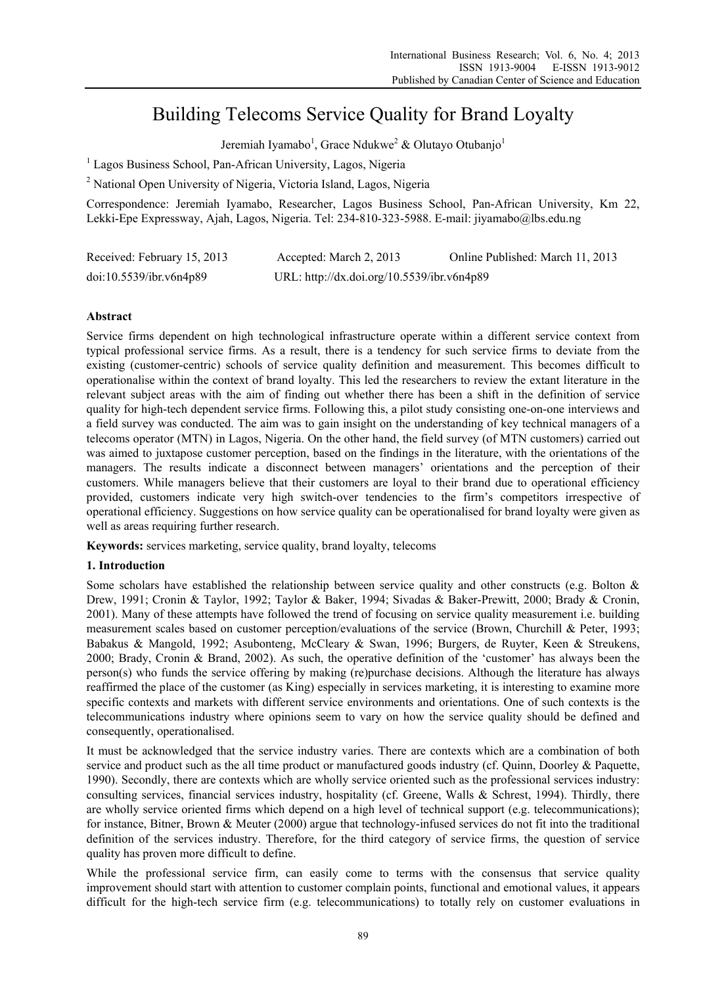# Building Telecoms Service Quality for Brand Loyalty

Jeremiah Iyamabo<sup>1</sup>, Grace Ndukwe<sup>2</sup> & Olutayo Otubanjo<sup>1</sup>

<sup>1</sup> Lagos Business School, Pan-African University, Lagos, Nigeria

<sup>2</sup> National Open University of Nigeria, Victoria Island, Lagos, Nigeria

Correspondence: Jeremiah Iyamabo, Researcher, Lagos Business School, Pan-African University, Km 22, Lekki-Epe Expressway, Ajah, Lagos, Nigeria. Tel: 234-810-323-5988. E-mail: jiyamabo@lbs.edu.ng

| Received: February 15, 2013 | Accepted: March 2, 2013                    | Online Published: March 11, 2013 |
|-----------------------------|--------------------------------------------|----------------------------------|
| doi:10.5539/ibr.v6n4p89     | URL: http://dx.doi.org/10.5539/ibr.v6n4p89 |                                  |

# **Abstract**

Service firms dependent on high technological infrastructure operate within a different service context from typical professional service firms. As a result, there is a tendency for such service firms to deviate from the existing (customer-centric) schools of service quality definition and measurement. This becomes difficult to operationalise within the context of brand loyalty. This led the researchers to review the extant literature in the relevant subject areas with the aim of finding out whether there has been a shift in the definition of service quality for high-tech dependent service firms. Following this, a pilot study consisting one-on-one interviews and a field survey was conducted. The aim was to gain insight on the understanding of key technical managers of a telecoms operator (MTN) in Lagos, Nigeria. On the other hand, the field survey (of MTN customers) carried out was aimed to juxtapose customer perception, based on the findings in the literature, with the orientations of the managers. The results indicate a disconnect between managers' orientations and the perception of their customers. While managers believe that their customers are loyal to their brand due to operational efficiency provided, customers indicate very high switch-over tendencies to the firm's competitors irrespective of operational efficiency. Suggestions on how service quality can be operationalised for brand loyalty were given as well as areas requiring further research.

**Keywords:** services marketing, service quality, brand loyalty, telecoms

# **1. Introduction**

Some scholars have established the relationship between service quality and other constructs (e.g. Bolton & Drew, 1991; Cronin & Taylor, 1992; Taylor & Baker, 1994; Sivadas & Baker-Prewitt, 2000; Brady & Cronin, 2001). Many of these attempts have followed the trend of focusing on service quality measurement i.e. building measurement scales based on customer perception/evaluations of the service (Brown, Churchill & Peter, 1993; Babakus & Mangold, 1992; Asubonteng, McCleary & Swan, 1996; Burgers, de Ruyter, Keen & Streukens, 2000; Brady, Cronin & Brand, 2002). As such, the operative definition of the 'customer' has always been the person(s) who funds the service offering by making (re)purchase decisions. Although the literature has always reaffirmed the place of the customer (as King) especially in services marketing, it is interesting to examine more specific contexts and markets with different service environments and orientations. One of such contexts is the telecommunications industry where opinions seem to vary on how the service quality should be defined and consequently, operationalised.

It must be acknowledged that the service industry varies. There are contexts which are a combination of both service and product such as the all time product or manufactured goods industry (cf. Quinn, Doorley & Paquette, 1990). Secondly, there are contexts which are wholly service oriented such as the professional services industry: consulting services, financial services industry, hospitality (cf. Greene, Walls & Schrest, 1994). Thirdly, there are wholly service oriented firms which depend on a high level of technical support (e.g. telecommunications); for instance, Bitner, Brown & Meuter (2000) argue that technology-infused services do not fit into the traditional definition of the services industry. Therefore, for the third category of service firms, the question of service quality has proven more difficult to define.

While the professional service firm, can easily come to terms with the consensus that service quality improvement should start with attention to customer complain points, functional and emotional values, it appears difficult for the high-tech service firm (e.g. telecommunications) to totally rely on customer evaluations in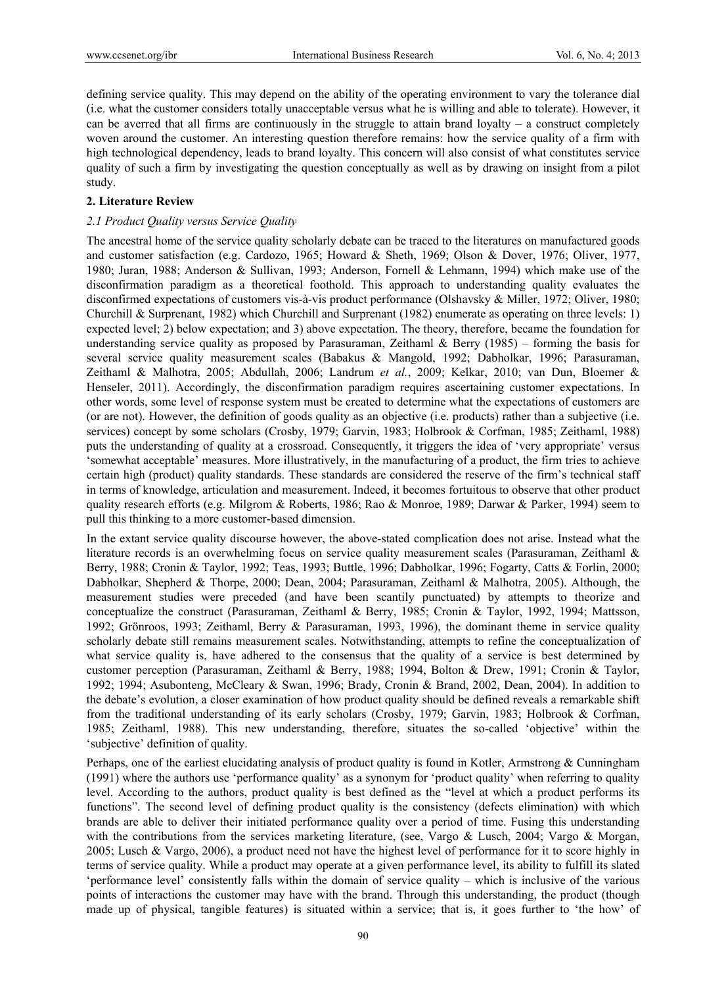defining service quality. This may depend on the ability of the operating environment to vary the tolerance dial (i.e. what the customer considers totally unacceptable versus what he is willing and able to tolerate). However, it can be averred that all firms are continuously in the struggle to attain brand loyalty – a construct completely woven around the customer. An interesting question therefore remains: how the service quality of a firm with high technological dependency, leads to brand loyalty. This concern will also consist of what constitutes service quality of such a firm by investigating the question conceptually as well as by drawing on insight from a pilot study.

## **2. Literature Review**

## *2.1 Product Quality versus Service Quality*

The ancestral home of the service quality scholarly debate can be traced to the literatures on manufactured goods and customer satisfaction (e.g. Cardozo, 1965; Howard & Sheth, 1969; Olson & Dover, 1976; Oliver, 1977, 1980; Juran, 1988; Anderson & Sullivan, 1993; Anderson, Fornell & Lehmann, 1994) which make use of the disconfirmation paradigm as a theoretical foothold. This approach to understanding quality evaluates the disconfirmed expectations of customers vis-à-vis product performance (Olshavsky & Miller, 1972; Oliver, 1980; Churchill & Surprenant, 1982) which Churchill and Surprenant (1982) enumerate as operating on three levels: 1) expected level; 2) below expectation; and 3) above expectation. The theory, therefore, became the foundation for understanding service quality as proposed by Parasuraman, Zeithaml & Berry (1985) – forming the basis for several service quality measurement scales (Babakus & Mangold, 1992; Dabholkar, 1996; Parasuraman, Zeithaml & Malhotra, 2005; Abdullah, 2006; Landrum *et al.*, 2009; Kelkar, 2010; van Dun, Bloemer & Henseler, 2011). Accordingly, the disconfirmation paradigm requires ascertaining customer expectations. In other words, some level of response system must be created to determine what the expectations of customers are (or are not). However, the definition of goods quality as an objective (i.e. products) rather than a subjective (i.e. services) concept by some scholars (Crosby, 1979; Garvin, 1983; Holbrook & Corfman, 1985; Zeithaml, 1988) puts the understanding of quality at a crossroad. Consequently, it triggers the idea of 'very appropriate' versus 'somewhat acceptable' measures. More illustratively, in the manufacturing of a product, the firm tries to achieve certain high (product) quality standards. These standards are considered the reserve of the firm's technical staff in terms of knowledge, articulation and measurement. Indeed, it becomes fortuitous to observe that other product quality research efforts (e.g. Milgrom & Roberts, 1986; Rao & Monroe, 1989; Darwar & Parker, 1994) seem to pull this thinking to a more customer-based dimension.

In the extant service quality discourse however, the above-stated complication does not arise. Instead what the literature records is an overwhelming focus on service quality measurement scales (Parasuraman, Zeithaml & Berry, 1988; Cronin & Taylor, 1992; Teas, 1993; Buttle, 1996; Dabholkar, 1996; Fogarty, Catts & Forlin, 2000; Dabholkar, Shepherd & Thorpe, 2000; Dean, 2004; Parasuraman, Zeithaml & Malhotra, 2005). Although, the measurement studies were preceded (and have been scantily punctuated) by attempts to theorize and conceptualize the construct (Parasuraman, Zeithaml & Berry, 1985; Cronin & Taylor, 1992, 1994; Mattsson, 1992; Grönroos, 1993; Zeithaml, Berry & Parasuraman, 1993, 1996), the dominant theme in service quality scholarly debate still remains measurement scales. Notwithstanding, attempts to refine the conceptualization of what service quality is, have adhered to the consensus that the quality of a service is best determined by customer perception (Parasuraman, Zeithaml & Berry, 1988; 1994, Bolton & Drew, 1991; Cronin & Taylor, 1992; 1994; Asubonteng, McCleary & Swan, 1996; Brady, Cronin & Brand, 2002, Dean, 2004). In addition to the debate's evolution, a closer examination of how product quality should be defined reveals a remarkable shift from the traditional understanding of its early scholars (Crosby, 1979; Garvin, 1983; Holbrook & Corfman, 1985; Zeithaml, 1988). This new understanding, therefore, situates the so-called 'objective' within the 'subjective' definition of quality.

Perhaps, one of the earliest elucidating analysis of product quality is found in Kotler, Armstrong & Cunningham (1991) where the authors use 'performance quality' as a synonym for 'product quality' when referring to quality level. According to the authors, product quality is best defined as the "level at which a product performs its functions". The second level of defining product quality is the consistency (defects elimination) with which brands are able to deliver their initiated performance quality over a period of time. Fusing this understanding with the contributions from the services marketing literature, (see, Vargo & Lusch, 2004; Vargo & Morgan, 2005; Lusch & Vargo, 2006), a product need not have the highest level of performance for it to score highly in terms of service quality. While a product may operate at a given performance level, its ability to fulfill its slated 'performance level' consistently falls within the domain of service quality – which is inclusive of the various points of interactions the customer may have with the brand. Through this understanding, the product (though made up of physical, tangible features) is situated within a service; that is, it goes further to 'the how' of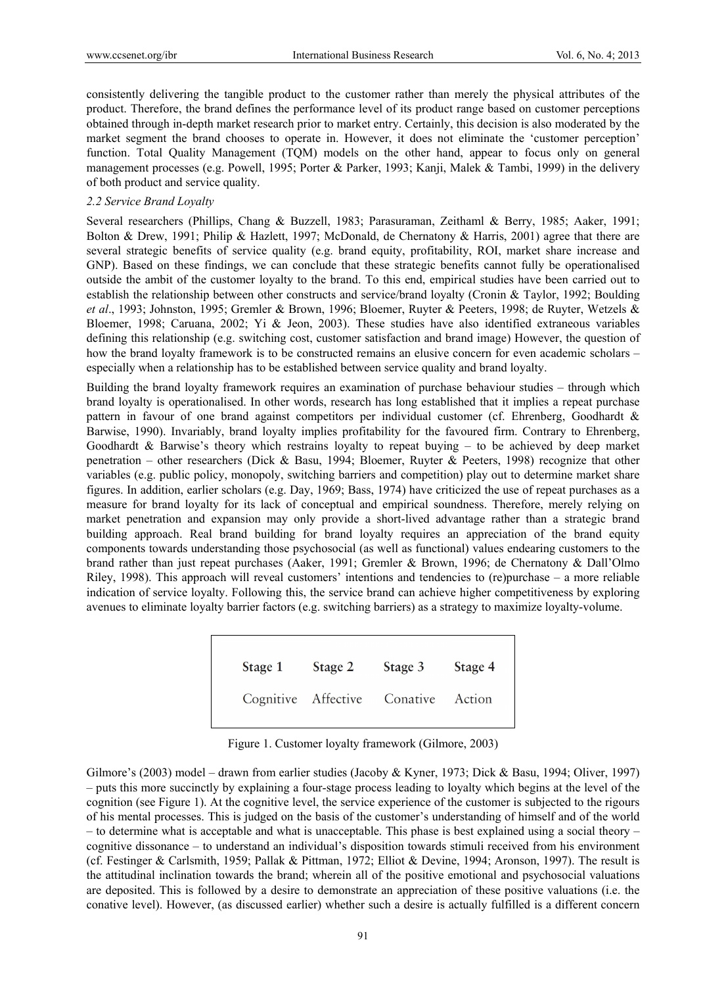consistently delivering the tangible product to the customer rather than merely the physical attributes of the product. Therefore, the brand defines the performance level of its product range based on customer perceptions obtained through in-depth market research prior to market entry. Certainly, this decision is also moderated by the market segment the brand chooses to operate in. However, it does not eliminate the 'customer perception' function. Total Quality Management (TQM) models on the other hand, appear to focus only on general management processes (e.g. Powell, 1995; Porter & Parker, 1993; Kanji, Malek & Tambi, 1999) in the delivery of both product and service quality.

### *2.2 Service Brand Loyalty*

Several researchers (Phillips, Chang & Buzzell, 1983; Parasuraman, Zeithaml & Berry, 1985; Aaker, 1991; Bolton & Drew, 1991; Philip & Hazlett, 1997; McDonald, de Chernatony & Harris, 2001) agree that there are several strategic benefits of service quality (e.g. brand equity, profitability, ROI, market share increase and GNP). Based on these findings, we can conclude that these strategic benefits cannot fully be operationalised outside the ambit of the customer loyalty to the brand. To this end, empirical studies have been carried out to establish the relationship between other constructs and service/brand loyalty (Cronin & Taylor, 1992; Boulding *et al*., 1993; Johnston, 1995; Gremler & Brown, 1996; Bloemer, Ruyter & Peeters, 1998; de Ruyter, Wetzels & Bloemer, 1998; Caruana, 2002; Yi & Jeon, 2003). These studies have also identified extraneous variables defining this relationship (e.g. switching cost, customer satisfaction and brand image) However, the question of how the brand loyalty framework is to be constructed remains an elusive concern for even academic scholars – especially when a relationship has to be established between service quality and brand loyalty.

Building the brand loyalty framework requires an examination of purchase behaviour studies – through which brand loyalty is operationalised. In other words, research has long established that it implies a repeat purchase pattern in favour of one brand against competitors per individual customer (cf. Ehrenberg, Goodhardt & Barwise, 1990). Invariably, brand loyalty implies profitability for the favoured firm. Contrary to Ehrenberg, Goodhardt & Barwise's theory which restrains loyalty to repeat buying – to be achieved by deep market penetration – other researchers (Dick & Basu, 1994; Bloemer, Ruyter & Peeters, 1998) recognize that other variables (e.g. public policy, monopoly, switching barriers and competition) play out to determine market share figures. In addition, earlier scholars (e.g. Day, 1969; Bass, 1974) have criticized the use of repeat purchases as a measure for brand loyalty for its lack of conceptual and empirical soundness. Therefore, merely relying on market penetration and expansion may only provide a short-lived advantage rather than a strategic brand building approach. Real brand building for brand loyalty requires an appreciation of the brand equity components towards understanding those psychosocial (as well as functional) values endearing customers to the brand rather than just repeat purchases (Aaker, 1991; Gremler & Brown, 1996; de Chernatony & Dall'Olmo Riley, 1998). This approach will reveal customers' intentions and tendencies to (re)purchase – a more reliable indication of service loyalty. Following this, the service brand can achieve higher competitiveness by exploring avenues to eliminate loyalty barrier factors (e.g. switching barriers) as a strategy to maximize loyalty-volume.

| Stage 1 | Stage 2 | Stage 3                             | Stage 4 |
|---------|---------|-------------------------------------|---------|
|         |         | Cognitive Affective Conative Action |         |

Figure 1. Customer loyalty framework (Gilmore, 2003)

Gilmore's (2003) model – drawn from earlier studies (Jacoby & Kyner, 1973; Dick & Basu, 1994; Oliver, 1997) – puts this more succinctly by explaining a four-stage process leading to loyalty which begins at the level of the cognition (see Figure 1). At the cognitive level, the service experience of the customer is subjected to the rigours of his mental processes. This is judged on the basis of the customer's understanding of himself and of the world – to determine what is acceptable and what is unacceptable. This phase is best explained using a social theory – cognitive dissonance – to understand an individual's disposition towards stimuli received from his environment (cf. Festinger & Carlsmith, 1959; Pallak & Pittman, 1972; Elliot & Devine, 1994; Aronson, 1997). The result is the attitudinal inclination towards the brand; wherein all of the positive emotional and psychosocial valuations are deposited. This is followed by a desire to demonstrate an appreciation of these positive valuations (i.e. the conative level). However, (as discussed earlier) whether such a desire is actually fulfilled is a different concern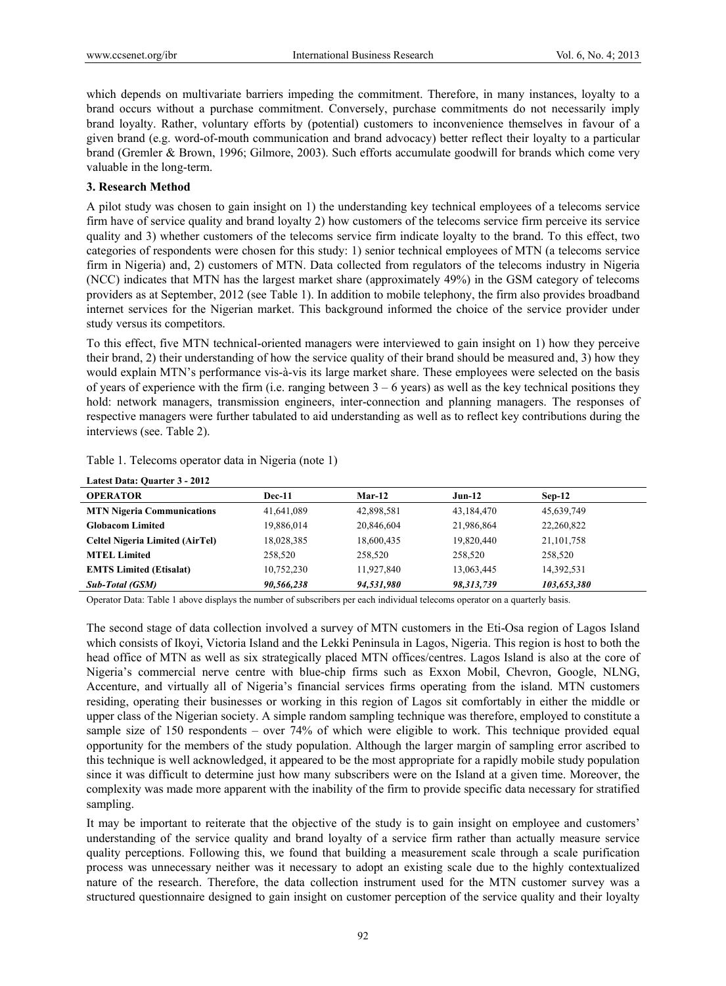which depends on multivariate barriers impeding the commitment. Therefore, in many instances, loyalty to a brand occurs without a purchase commitment. Conversely, purchase commitments do not necessarily imply brand loyalty. Rather, voluntary efforts by (potential) customers to inconvenience themselves in favour of a given brand (e.g. word-of-mouth communication and brand advocacy) better reflect their loyalty to a particular brand (Gremler & Brown, 1996; Gilmore, 2003). Such efforts accumulate goodwill for brands which come very valuable in the long-term.

# **3. Research Method**

A pilot study was chosen to gain insight on 1) the understanding key technical employees of a telecoms service firm have of service quality and brand loyalty 2) how customers of the telecoms service firm perceive its service quality and 3) whether customers of the telecoms service firm indicate loyalty to the brand. To this effect, two categories of respondents were chosen for this study: 1) senior technical employees of MTN (a telecoms service firm in Nigeria) and, 2) customers of MTN. Data collected from regulators of the telecoms industry in Nigeria (NCC) indicates that MTN has the largest market share (approximately 49%) in the GSM category of telecoms providers as at September, 2012 (see Table 1). In addition to mobile telephony, the firm also provides broadband internet services for the Nigerian market. This background informed the choice of the service provider under study versus its competitors.

To this effect, five MTN technical-oriented managers were interviewed to gain insight on 1) how they perceive their brand, 2) their understanding of how the service quality of their brand should be measured and, 3) how they would explain MTN's performance vis-à-vis its large market share. These employees were selected on the basis of years of experience with the firm (i.e. ranging between  $3 - 6$  years) as well as the key technical positions they hold: network managers, transmission engineers, inter-connection and planning managers. The responses of respective managers were further tabulated to aid understanding as well as to reflect key contributions during the interviews (see. Table 2).

Table 1. Telecoms operator data in Nigeria (note 1)

| Latest Data: Quarter 3 - 2012          |               |            |            |              |  |
|----------------------------------------|---------------|------------|------------|--------------|--|
| <b>OPERATOR</b>                        | <b>Dec-11</b> | Mar-12     | $Jun-12$   | $Sep-12$     |  |
| <b>MTN Nigeria Communications</b>      | 41,641,089    | 42,898,581 | 43,184,470 | 45,639,749   |  |
| <b>Globacom Limited</b>                | 19,886,014    | 20,846,604 | 21,986,864 | 22,260,822   |  |
| <b>Celtel Nigeria Limited (AirTel)</b> | 18,028,385    | 18,600,435 | 19,820,440 | 21, 101, 758 |  |
| <b>MTEL Limited</b>                    | 258,520       | 258,520    | 258.520    | 258.520      |  |
| <b>EMTS Limited (Etisalat)</b>         | 10,752,230    | 11,927,840 | 13,063,445 | 14,392,531   |  |
| <b>Sub-Total (GSM)</b>                 | 90,566,238    | 94,531,980 | 98,313,739 | 103,653,380  |  |
|                                        |               |            |            |              |  |

Operator Data: Table 1 above displays the number of subscribers per each individual telecoms operator on a quarterly basis.

The second stage of data collection involved a survey of MTN customers in the Eti-Osa region of Lagos Island which consists of Ikoyi, Victoria Island and the Lekki Peninsula in Lagos, Nigeria. This region is host to both the head office of MTN as well as six strategically placed MTN offices/centres. Lagos Island is also at the core of Nigeria's commercial nerve centre with blue-chip firms such as Exxon Mobil, Chevron, Google, NLNG, Accenture, and virtually all of Nigeria's financial services firms operating from the island. MTN customers residing, operating their businesses or working in this region of Lagos sit comfortably in either the middle or upper class of the Nigerian society. A simple random sampling technique was therefore, employed to constitute a sample size of 150 respondents – over 74% of which were eligible to work. This technique provided equal opportunity for the members of the study population. Although the larger margin of sampling error ascribed to this technique is well acknowledged, it appeared to be the most appropriate for a rapidly mobile study population since it was difficult to determine just how many subscribers were on the Island at a given time. Moreover, the complexity was made more apparent with the inability of the firm to provide specific data necessary for stratified sampling.

It may be important to reiterate that the objective of the study is to gain insight on employee and customers' understanding of the service quality and brand loyalty of a service firm rather than actually measure service quality perceptions. Following this, we found that building a measurement scale through a scale purification process was unnecessary neither was it necessary to adopt an existing scale due to the highly contextualized nature of the research. Therefore, the data collection instrument used for the MTN customer survey was a structured questionnaire designed to gain insight on customer perception of the service quality and their loyalty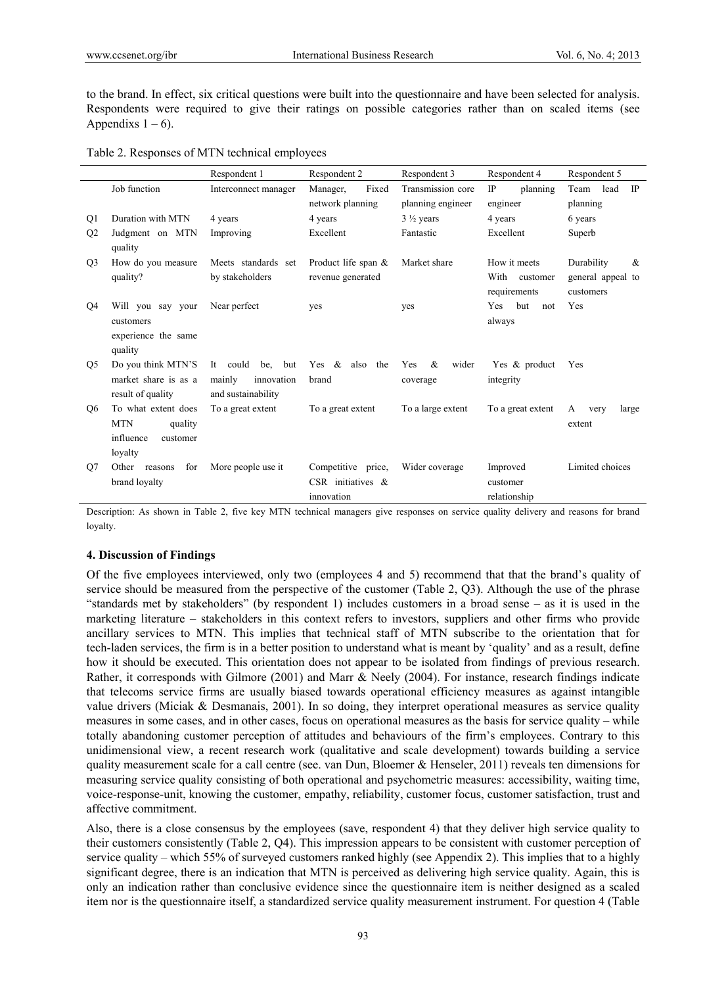to the brand. In effect, six critical questions were built into the questionnaire and have been selected for analysis. Respondents were required to give their ratings on possible categories rather than on scaled items (see Appendixs  $1 - 6$ ).

|  |  |  |  | Table 2. Responses of MTN technical employees |
|--|--|--|--|-----------------------------------------------|
|--|--|--|--|-----------------------------------------------|

|                |                                                                                  | Respondent 1                                                         | Respondent 2                                             | Respondent 3                  | Respondent 4                         | Respondent 5                   |
|----------------|----------------------------------------------------------------------------------|----------------------------------------------------------------------|----------------------------------------------------------|-------------------------------|--------------------------------------|--------------------------------|
|                | Job function                                                                     | Interconnect manager                                                 | Fixed<br>Manager,                                        | Transmission core             | <b>IP</b><br>planning                | lead<br>IP<br>Team             |
|                |                                                                                  |                                                                      | network planning                                         | planning engineer             | engineer                             | planning                       |
| Q <sub>1</sub> | Duration with MTN                                                                | 4 years                                                              | 4 years                                                  | $3\frac{1}{2}$ years          | 4 years                              | 6 years                        |
| Q <sub>2</sub> | Judgment on MTN<br>quality                                                       | Improving                                                            | Excellent                                                | Fantastic                     | Excellent                            | Superb                         |
| Q <sub>3</sub> | How do you measure                                                               | Meets standards set                                                  | Product life span $\&$                                   | Market share                  | How it meets                         | Durability<br>&                |
|                | quality?                                                                         | by stakeholders                                                      | revenue generated                                        |                               | With<br>customer<br>requirements     | general appeal to<br>customers |
| O <sub>4</sub> | Will you say your<br>customers<br>experience the same<br>quality                 | Near perfect                                                         | yes                                                      | yes                           | Yes<br>but<br>not<br>always          | Yes                            |
| O <sub>5</sub> | Do you think MTN'S<br>market share is as a<br>result of quality                  | It could<br>be.<br>but<br>mainly<br>innovation<br>and sustainability | Yes $\&$<br>also the<br>brand                            | Yes<br>&<br>wider<br>coverage | Yes & product<br>integrity           | Yes                            |
| O <sub>6</sub> | To what extent does<br><b>MTN</b><br>quality<br>influence<br>customer<br>loyalty | To a great extent                                                    | To a great extent                                        | To a large extent             | To a great extent                    | A<br>large<br>very<br>extent   |
| O <sub>7</sub> | for<br>Other<br>reasons<br>brand loyalty                                         | More people use it                                                   | Competitive price,<br>CSR initiatives $\&$<br>innovation | Wider coverage                | Improved<br>customer<br>relationship | Limited choices                |

Description: As shown in Table 2, five key MTN technical managers give responses on service quality delivery and reasons for brand loyalty.

### **4. Discussion of Findings**

Of the five employees interviewed, only two (employees 4 and 5) recommend that that the brand's quality of service should be measured from the perspective of the customer (Table 2, Q3). Although the use of the phrase "standards met by stakeholders" (by respondent 1) includes customers in a broad sense – as it is used in the marketing literature – stakeholders in this context refers to investors, suppliers and other firms who provide ancillary services to MTN. This implies that technical staff of MTN subscribe to the orientation that for tech-laden services, the firm is in a better position to understand what is meant by 'quality' and as a result, define how it should be executed. This orientation does not appear to be isolated from findings of previous research. Rather, it corresponds with Gilmore (2001) and Marr & Neely (2004). For instance, research findings indicate that telecoms service firms are usually biased towards operational efficiency measures as against intangible value drivers (Miciak & Desmanais, 2001). In so doing, they interpret operational measures as service quality measures in some cases, and in other cases, focus on operational measures as the basis for service quality – while totally abandoning customer perception of attitudes and behaviours of the firm's employees. Contrary to this unidimensional view, a recent research work (qualitative and scale development) towards building a service quality measurement scale for a call centre (see. van Dun, Bloemer & Henseler, 2011) reveals ten dimensions for measuring service quality consisting of both operational and psychometric measures: accessibility, waiting time, voice-response-unit, knowing the customer, empathy, reliability, customer focus, customer satisfaction, trust and affective commitment.

Also, there is a close consensus by the employees (save, respondent 4) that they deliver high service quality to their customers consistently (Table 2, Q4). This impression appears to be consistent with customer perception of service quality – which 55% of surveyed customers ranked highly (see Appendix 2). This implies that to a highly significant degree, there is an indication that MTN is perceived as delivering high service quality. Again, this is only an indication rather than conclusive evidence since the questionnaire item is neither designed as a scaled item nor is the questionnaire itself, a standardized service quality measurement instrument. For question 4 (Table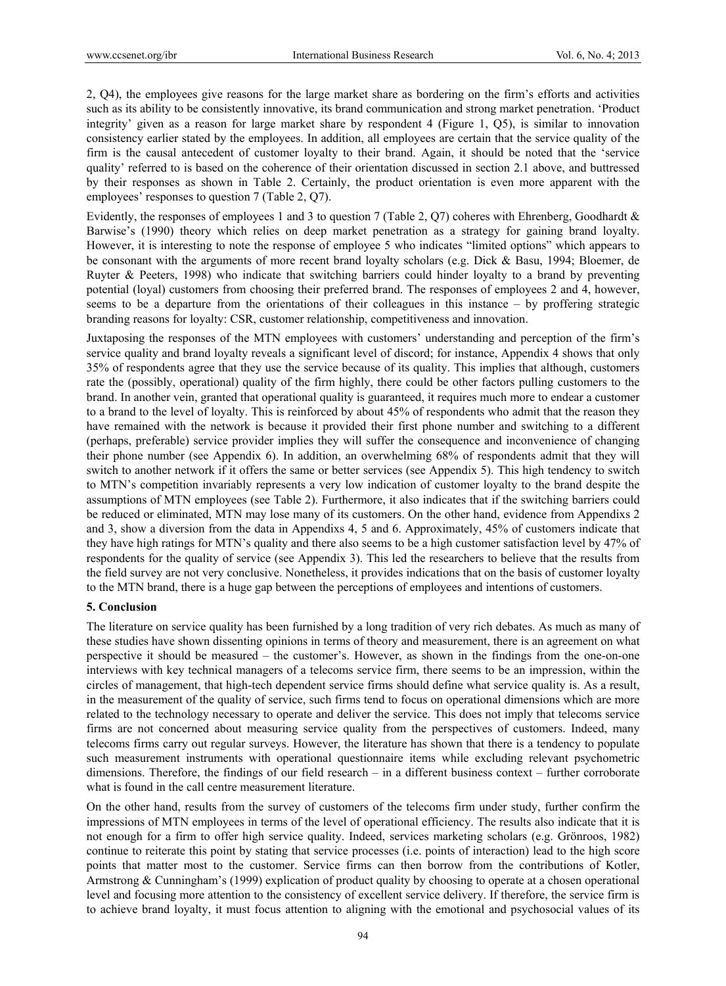2, Q4), the employees give reasons for the large market share as bordering on the firm's efforts and activities such as its ability to be consistently innovative, its brand communication and strong market penetration. 'Product integrity' given as a reason for large market share by respondent 4 (Figure 1, Q5), is similar to innovation consistency earlier stated by the employees. In addition, all employees are certain that the service quality of the firm is the causal antecedent of customer loyalty to their brand. Again, it should be noted that the 'service quality' referred to is based on the coherence of their orientation discussed in section 2.1 above, and buttressed by their responses as shown in Table 2. Certainly, the product orientation is even more apparent with the employees' responses to question 7 (Table 2, Q7).

Evidently, the responses of employees 1 and 3 to question 7 (Table 2, Q7) coheres with Ehrenberg, Goodhardt & Barwise's (1990) theory which relies on deep market penetration as a strategy for gaining brand loyalty. However, it is interesting to note the response of employee 5 who indicates "limited options" which appears to be consonant with the arguments of more recent brand loyalty scholars (e.g. Dick & Basu, 1994; Bloemer, de Ruyter & Peeters, 1998) who indicate that switching barriers could hinder loyalty to a brand by preventing potential (loyal) customers from choosing their preferred brand. The responses of employees 2 and 4, however, seems to be a departure from the orientations of their colleagues in this instance – by proffering strategic branding reasons for loyalty: CSR, customer relationship, competitiveness and innovation.

Juxtaposing the responses of the MTN employees with customers' understanding and perception of the firm's service quality and brand loyalty reveals a significant level of discord; for instance, Appendix 4 shows that only 35% of respondents agree that they use the service because of its quality. This implies that although, customers rate the (possibly, operational) quality of the firm highly, there could be other factors pulling customers to the brand. In another vein, granted that operational quality is guaranteed, it requires much more to endear a customer to a brand to the level of loyalty. This is reinforced by about 45% of respondents who admit that the reason they have remained with the network is because it provided their first phone number and switching to a different (perhaps, preferable) service provider implies they will suffer the consequence and inconvenience of changing their phone number (see Appendix 6). In addition, an overwhelming 68% of respondents admit that they will switch to another network if it offers the same or better services (see Appendix 5). This high tendency to switch to MTN's competition invariably represents a very low indication of customer loyalty to the brand despite the assumptions of MTN employees (see Table 2). Furthermore, it also indicates that if the switching barriers could be reduced or eliminated, MTN may lose many of its customers. On the other hand, evidence from Appendixs 2 and 3, show a diversion from the data in Appendixs 4, 5 and 6. Approximately, 45% of customers indicate that they have high ratings for MTN's quality and there also seems to be a high customer satisfaction level by 47% of respondents for the quality of service (see Appendix 3). This led the researchers to believe that the results from the field survey are not very conclusive. Nonetheless, it provides indications that on the basis of customer loyalty to the MTN brand, there is a huge gap between the perceptions of employees and intentions of customers.

### **5. Conclusion**

The literature on service quality has been furnished by a long tradition of very rich debates. As much as many of these studies have shown dissenting opinions in terms of theory and measurement, there is an agreement on what perspective it should be measured – the customer's. However, as shown in the findings from the one-on-one interviews with key technical managers of a telecoms service firm, there seems to be an impression, within the circles of management, that high-tech dependent service firms should define what service quality is. As a result, in the measurement of the quality of service, such firms tend to focus on operational dimensions which are more related to the technology necessary to operate and deliver the service. This does not imply that telecoms service firms are not concerned about measuring service quality from the perspectives of customers. Indeed, many telecoms firms carry out regular surveys. However, the literature has shown that there is a tendency to populate such measurement instruments with operational questionnaire items while excluding relevant psychometric dimensions. Therefore, the findings of our field research – in a different business context – further corroborate what is found in the call centre measurement literature.

On the other hand, results from the survey of customers of the telecoms firm under study, further confirm the impressions of MTN employees in terms of the level of operational efficiency. The results also indicate that it is not enough for a firm to offer high service quality. Indeed, services marketing scholars (e.g. Grönroos, 1982) continue to reiterate this point by stating that service processes (i.e. points of interaction) lead to the high score points that matter most to the customer. Service firms can then borrow from the contributions of Kotler, Armstrong & Cunningham's (1999) explication of product quality by choosing to operate at a chosen operational level and focusing more attention to the consistency of excellent service delivery. If therefore, the service firm is to achieve brand loyalty, it must focus attention to aligning with the emotional and psychosocial values of its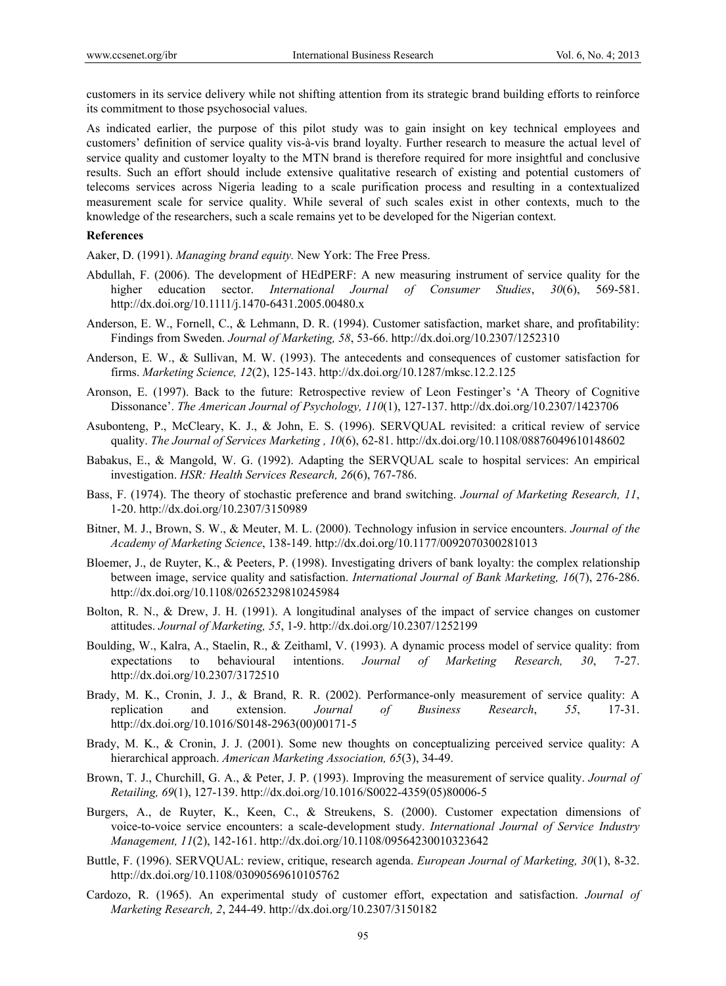customers in its service delivery while not shifting attention from its strategic brand building efforts to reinforce its commitment to those psychosocial values.

As indicated earlier, the purpose of this pilot study was to gain insight on key technical employees and customers' definition of service quality vis-à-vis brand loyalty. Further research to measure the actual level of service quality and customer loyalty to the MTN brand is therefore required for more insightful and conclusive results. Such an effort should include extensive qualitative research of existing and potential customers of telecoms services across Nigeria leading to a scale purification process and resulting in a contextualized measurement scale for service quality. While several of such scales exist in other contexts, much to the knowledge of the researchers, such a scale remains yet to be developed for the Nigerian context.

#### **References**

Aaker, D. (1991). *Managing brand equity.* New York: The Free Press.

- Abdullah, F. (2006). The development of HEdPERF: A new measuring instrument of service quality for the higher education sector. *International Journal of Consumer Studies*, *30*(6), 569-581. http://dx.doi.org/10.1111/j.1470-6431.2005.00480.x
- Anderson, E. W., Fornell, C., & Lehmann, D. R. (1994). Customer satisfaction, market share, and profitability: Findings from Sweden. *Journal of Marketing, 58*, 53-66. http://dx.doi.org/10.2307/1252310
- Anderson, E. W., & Sullivan, M. W. (1993). The antecedents and consequences of customer satisfaction for firms. *Marketing Science, 12*(2), 125-143. http://dx.doi.org/10.1287/mksc.12.2.125
- Aronson, E. (1997). Back to the future: Retrospective review of Leon Festinger's 'A Theory of Cognitive Dissonance'. *The American Journal of Psychology, 110*(1), 127-137. http://dx.doi.org/10.2307/1423706
- Asubonteng, P., McCleary, K. J., & John, E. S. (1996). SERVQUAL revisited: a critical review of service quality. *The Journal of Services Marketing , 10*(6), 62-81. http://dx.doi.org/10.1108/08876049610148602
- Babakus, E., & Mangold, W. G. (1992). Adapting the SERVQUAL scale to hospital services: An empirical investigation. *HSR: Health Services Research, 26*(6), 767-786.
- Bass, F. (1974). The theory of stochastic preference and brand switching. *Journal of Marketing Research, 11*, 1-20. http://dx.doi.org/10.2307/3150989
- Bitner, M. J., Brown, S. W., & Meuter, M. L. (2000). Technology infusion in service encounters. *Journal of the Academy of Marketing Science*, 138-149. http://dx.doi.org/10.1177/0092070300281013
- Bloemer, J., de Ruyter, K., & Peeters, P. (1998). Investigating drivers of bank loyalty: the complex relationship between image, service quality and satisfaction. *International Journal of Bank Marketing, 16*(7), 276-286. http://dx.doi.org/10.1108/02652329810245984
- Bolton, R. N., & Drew, J. H. (1991). A longitudinal analyses of the impact of service changes on customer attitudes. *Journal of Marketing, 55*, 1-9. http://dx.doi.org/10.2307/1252199
- Boulding, W., Kalra, A., Staelin, R., & Zeithaml, V. (1993). A dynamic process model of service quality: from expectations to behavioural intentions. *Journal of Marketing Research, 30*, 7-27. http://dx.doi.org/10.2307/3172510
- Brady, M. K., Cronin, J. J., & Brand, R. R. (2002). Performance-only measurement of service quality: A replication and extension. *Journal of Business Research*, *55*, 17-31. http://dx.doi.org/10.1016/S0148-2963(00)00171-5
- Brady, M. K., & Cronin, J. J. (2001). Some new thoughts on conceptualizing perceived service quality: A hierarchical approach. *American Marketing Association, 65*(3), 34-49.
- Brown, T. J., Churchill, G. A., & Peter, J. P. (1993). Improving the measurement of service quality. *Journal of Retailing, 69*(1), 127-139. http://dx.doi.org/10.1016/S0022-4359(05)80006-5
- Burgers, A., de Ruyter, K., Keen, C., & Streukens, S. (2000). Customer expectation dimensions of voice-to-voice service encounters: a scale-development study. *International Journal of Service Industry Management, 11*(2), 142-161. http://dx.doi.org/10.1108/09564230010323642
- Buttle, F. (1996). SERVQUAL: review, critique, research agenda. *European Journal of Marketing, 30*(1), 8-32. http://dx.doi.org/10.1108/03090569610105762
- Cardozo, R. (1965). An experimental study of customer effort, expectation and satisfaction. *Journal of Marketing Research, 2*, 244-49. http://dx.doi.org/10.2307/3150182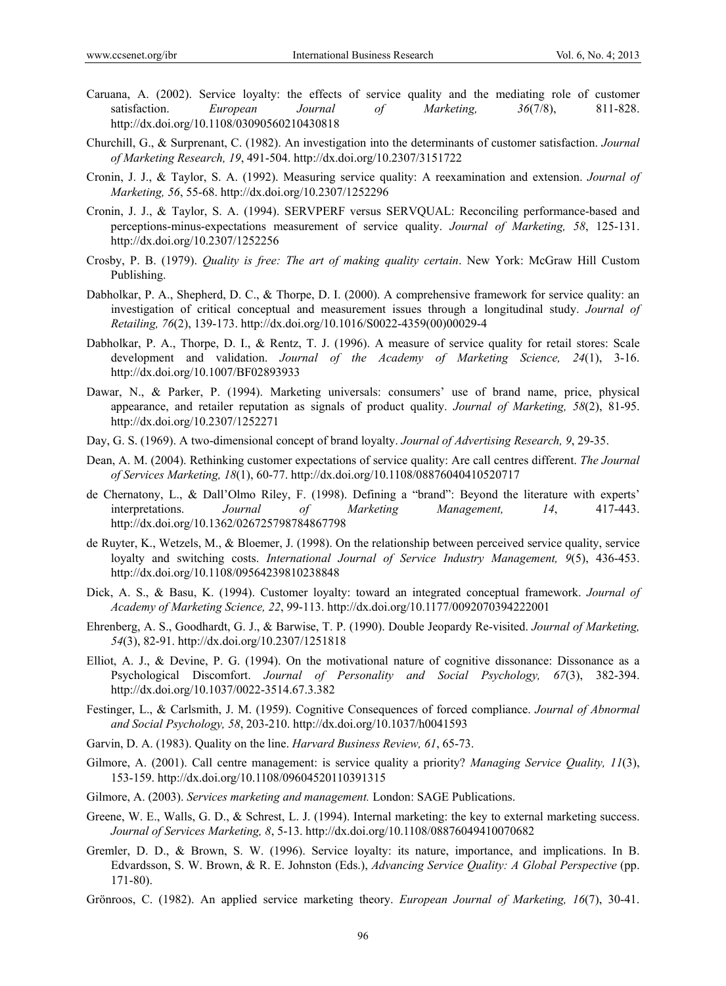- Caruana, A. (2002). Service loyalty: the effects of service quality and the mediating role of customer satisfaction. *European Journal of Marketing, 36*(7/8), 811-828. http://dx.doi.org/10.1108/03090560210430818
- Churchill, G., & Surprenant, C. (1982). An investigation into the determinants of customer satisfaction. *Journal of Marketing Research, 19*, 491-504. http://dx.doi.org/10.2307/3151722
- Cronin, J. J., & Taylor, S. A. (1992). Measuring service quality: A reexamination and extension. *Journal of Marketing, 56*, 55-68. http://dx.doi.org/10.2307/1252296
- Cronin, J. J., & Taylor, S. A. (1994). SERVPERF versus SERVQUAL: Reconciling performance-based and perceptions-minus-expectations measurement of service quality. *Journal of Marketing, 58*, 125-131. http://dx.doi.org/10.2307/1252256
- Crosby, P. B. (1979). *Quality is free: The art of making quality certain*. New York: McGraw Hill Custom Publishing.
- Dabholkar, P. A., Shepherd, D. C., & Thorpe, D. I. (2000). A comprehensive framework for service quality: an investigation of critical conceptual and measurement issues through a longitudinal study. *Journal of Retailing, 76*(2), 139-173. http://dx.doi.org/10.1016/S0022-4359(00)00029-4
- Dabholkar, P. A., Thorpe, D. I., & Rentz, T. J. (1996). A measure of service quality for retail stores: Scale development and validation. *Journal of the Academy of Marketing Science, 24*(1), 3-16. http://dx.doi.org/10.1007/BF02893933
- Dawar, N., & Parker, P. (1994). Marketing universals: consumers' use of brand name, price, physical appearance, and retailer reputation as signals of product quality. *Journal of Marketing, 58*(2), 81-95. http://dx.doi.org/10.2307/1252271
- Day, G. S. (1969). A two-dimensional concept of brand loyalty. *Journal of Advertising Research, 9*, 29-35.
- Dean, A. M. (2004). Rethinking customer expectations of service quality: Are call centres different. *The Journal of Services Marketing, 18*(1), 60-77. http://dx.doi.org/10.1108/08876040410520717
- de Chernatony, L., & Dall'Olmo Riley, F. (1998). Defining a "brand": Beyond the literature with experts' interpretations. *Journal of Marketing Management, 14*, 417-443. http://dx.doi.org/10.1362/026725798784867798
- de Ruyter, K., Wetzels, M., & Bloemer, J. (1998). On the relationship between perceived service quality, service loyalty and switching costs. *International Journal of Service Industry Management, 9*(5), 436-453. http://dx.doi.org/10.1108/09564239810238848
- Dick, A. S., & Basu, K. (1994). Customer loyalty: toward an integrated conceptual framework. *Journal of Academy of Marketing Science, 22*, 99-113. http://dx.doi.org/10.1177/0092070394222001
- Ehrenberg, A. S., Goodhardt, G. J., & Barwise, T. P. (1990). Double Jeopardy Re-visited. *Journal of Marketing, 54*(3), 82-91. http://dx.doi.org/10.2307/1251818
- Elliot, A. J., & Devine, P. G. (1994). On the motivational nature of cognitive dissonance: Dissonance as a Psychological Discomfort. *Journal of Personality and Social Psychology, 67*(3), 382-394. http://dx.doi.org/10.1037/0022-3514.67.3.382
- Festinger, L., & Carlsmith, J. M. (1959). Cognitive Consequences of forced compliance. *Journal of Abnormal and Social Psychology, 58*, 203-210. http://dx.doi.org/10.1037/h0041593
- Garvin, D. A. (1983). Quality on the line. *Harvard Business Review, 61*, 65-73.
- Gilmore, A. (2001). Call centre management: is service quality a priority? *Managing Service Quality, 11*(3), 153-159. http://dx.doi.org/10.1108/09604520110391315
- Gilmore, A. (2003). *Services marketing and management.* London: SAGE Publications.
- Greene, W. E., Walls, G. D., & Schrest, L. J. (1994). Internal marketing: the key to external marketing success. *Journal of Services Marketing, 8*, 5-13. http://dx.doi.org/10.1108/08876049410070682
- Gremler, D. D., & Brown, S. W. (1996). Service loyalty: its nature, importance, and implications. In B. Edvardsson, S. W. Brown, & R. E. Johnston (Eds.), *Advancing Service Quality: A Global Perspective* (pp. 171-80).
- Grönroos, C. (1982). An applied service marketing theory. *European Journal of Marketing, 16*(7), 30-41.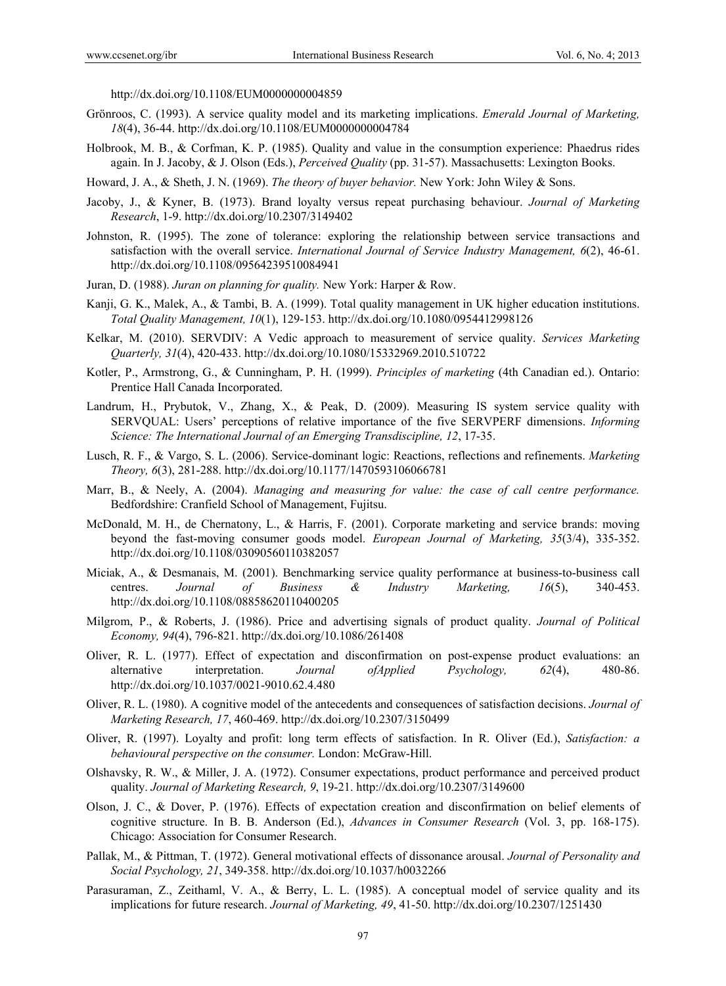http://dx.doi.org/10.1108/EUM0000000004859

- Grönroos, C. (1993). A service quality model and its marketing implications. *Emerald Journal of Marketing, 18*(4), 36-44. http://dx.doi.org/10.1108/EUM0000000004784
- Holbrook, M. B., & Corfman, K. P. (1985). Quality and value in the consumption experience: Phaedrus rides again. In J. Jacoby, & J. Olson (Eds.), *Perceived Quality* (pp. 31-57). Massachusetts: Lexington Books.
- Howard, J. A., & Sheth, J. N. (1969). *The theory of buyer behavior.* New York: John Wiley & Sons.
- Jacoby, J., & Kyner, B. (1973). Brand loyalty versus repeat purchasing behaviour. *Journal of Marketing Research*, 1-9. http://dx.doi.org/10.2307/3149402
- Johnston, R. (1995). The zone of tolerance: exploring the relationship between service transactions and satisfaction with the overall service. *International Journal of Service Industry Management, 6*(2), 46-61. http://dx.doi.org/10.1108/09564239510084941
- Juran, D. (1988). *Juran on planning for quality.* New York: Harper & Row.
- Kanji, G. K., Malek, A., & Tambi, B. A. (1999). Total quality management in UK higher education institutions. *Total Quality Management, 10*(1), 129-153. http://dx.doi.org/10.1080/0954412998126
- Kelkar, M. (2010). SERVDIV: A Vedic approach to measurement of service quality. *Services Marketing Quarterly, 31*(4), 420-433. http://dx.doi.org/10.1080/15332969.2010.510722
- Kotler, P., Armstrong, G., & Cunningham, P. H. (1999). *Principles of marketing* (4th Canadian ed.). Ontario: Prentice Hall Canada Incorporated.
- Landrum, H., Prybutok, V., Zhang, X., & Peak, D. (2009). Measuring IS system service quality with SERVQUAL: Users' perceptions of relative importance of the five SERVPERF dimensions. *Informing Science: The International Journal of an Emerging Transdiscipline, 12*, 17-35.
- Lusch, R. F., & Vargo, S. L. (2006). Service-dominant logic: Reactions, reflections and refinements. *Marketing Theory, 6*(3), 281-288. http://dx.doi.org/10.1177/1470593106066781
- Marr, B., & Neely, A. (2004). *Managing and measuring for value: the case of call centre performance.* Bedfordshire: Cranfield School of Management, Fujitsu.
- McDonald, M. H., de Chernatony, L., & Harris, F. (2001). Corporate marketing and service brands: moving beyond the fast-moving consumer goods model. *European Journal of Marketing, 35*(3/4), 335-352. http://dx.doi.org/10.1108/03090560110382057
- Miciak, A., & Desmanais, M. (2001). Benchmarking service quality performance at business-to-business call centres. *Journal of Business & Industry Marketing, 16*(5), 340-453. http://dx.doi.org/10.1108/08858620110400205
- Milgrom, P., & Roberts, J. (1986). Price and advertising signals of product quality. *Journal of Political Economy, 94*(4), 796-821. http://dx.doi.org/10.1086/261408
- Oliver, R. L. (1977). Effect of expectation and disconfirmation on post-expense product evaluations: an alternative interpretation. *Journal ofApplied Psychology, 62*(4), 480-86. http://dx.doi.org/10.1037/0021-9010.62.4.480
- Oliver, R. L. (1980). A cognitive model of the antecedents and consequences of satisfaction decisions. *Journal of Marketing Research, 17*, 460-469. http://dx.doi.org/10.2307/3150499
- Oliver, R. (1997). Loyalty and profit: long term effects of satisfaction. In R. Oliver (Ed.), *Satisfaction: a behavioural perspective on the consumer.* London: McGraw-Hill.
- Olshavsky, R. W., & Miller, J. A. (1972). Consumer expectations, product performance and perceived product quality. *Journal of Marketing Research, 9*, 19-21. http://dx.doi.org/10.2307/3149600
- Olson, J. C., & Dover, P. (1976). Effects of expectation creation and disconfirmation on belief elements of cognitive structure. In B. B. Anderson (Ed.), *Advances in Consumer Research* (Vol. 3, pp. 168-175). Chicago: Association for Consumer Research.
- Pallak, M., & Pittman, T. (1972). General motivational effects of dissonance arousal. *Journal of Personality and Social Psychology, 21*, 349-358. http://dx.doi.org/10.1037/h0032266
- Parasuraman, Z., Zeithaml, V. A., & Berry, L. L. (1985). A conceptual model of service quality and its implications for future research. *Journal of Marketing, 49*, 41-50. http://dx.doi.org/10.2307/1251430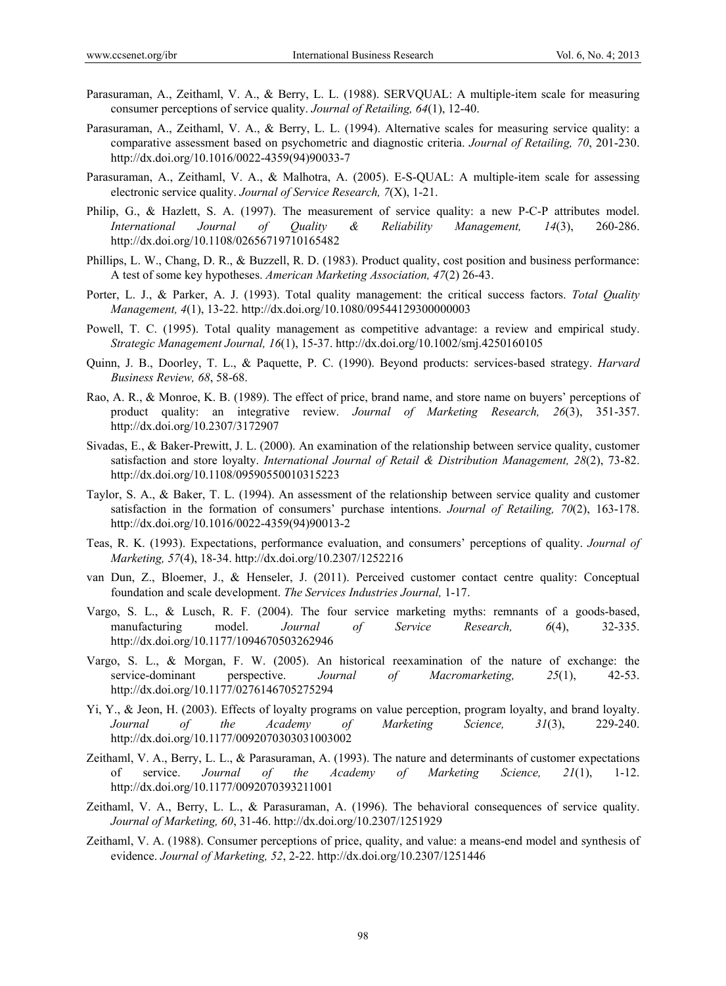- Parasuraman, A., Zeithaml, V. A., & Berry, L. L. (1988). SERVQUAL: A multiple-item scale for measuring consumer perceptions of service quality. *Journal of Retailing, 64*(1), 12-40.
- Parasuraman, A., Zeithaml, V. A., & Berry, L. L. (1994). Alternative scales for measuring service quality: a comparative assessment based on psychometric and diagnostic criteria. *Journal of Retailing, 70*, 201-230. http://dx.doi.org/10.1016/0022-4359(94)90033-7
- Parasuraman, A., Zeithaml, V. A., & Malhotra, A. (2005). E-S-QUAL: A multiple-item scale for assessing electronic service quality. *Journal of Service Research, 7*(X), 1-21.
- Philip, G., & Hazlett, S. A. (1997). The measurement of service quality: a new P-C-P attributes model. *International Journal of Quality & Reliability Management, 14*(3), 260-286. http://dx.doi.org/10.1108/02656719710165482
- Phillips, L. W., Chang, D. R., & Buzzell, R. D. (1983). Product quality, cost position and business performance: A test of some key hypotheses. *American Marketing Association, 47*(2) 26-43.
- Porter, L. J., & Parker, A. J. (1993). Total quality management: the critical success factors. *Total Quality Management, 4*(1), 13-22. http://dx.doi.org/10.1080/09544129300000003
- Powell, T. C. (1995). Total quality management as competitive advantage: a review and empirical study. *Strategic Management Journal, 16*(1), 15-37. http://dx.doi.org/10.1002/smj.4250160105
- Quinn, J. B., Doorley, T. L., & Paquette, P. C. (1990). Beyond products: services-based strategy. *Harvard Business Review, 68*, 58-68.
- Rao, A. R., & Monroe, K. B. (1989). The effect of price, brand name, and store name on buyers' perceptions of product quality: an integrative review. *Journal of Marketing Research, 26*(3), 351-357. http://dx.doi.org/10.2307/3172907
- Sivadas, E., & Baker-Prewitt, J. L. (2000). An examination of the relationship between service quality, customer satisfaction and store loyalty. *International Journal of Retail & Distribution Management, 28*(2), 73-82. http://dx.doi.org/10.1108/09590550010315223
- Taylor, S. A., & Baker, T. L. (1994). An assessment of the relationship between service quality and customer satisfaction in the formation of consumers' purchase intentions. *Journal of Retailing, 70*(2), 163-178. http://dx.doi.org/10.1016/0022-4359(94)90013-2
- Teas, R. K. (1993). Expectations, performance evaluation, and consumers' perceptions of quality. *Journal of Marketing, 57*(4), 18-34. http://dx.doi.org/10.2307/1252216
- van Dun, Z., Bloemer, J., & Henseler, J. (2011). Perceived customer contact centre quality: Conceptual foundation and scale development. *The Services Industries Journal,* 1-17.
- Vargo, S. L., & Lusch, R. F. (2004). The four service marketing myths: remnants of a goods-based, manufacturing model. *Journal of Service Research, 6*(4), 32-335. http://dx.doi.org/10.1177/1094670503262946
- Vargo, S. L., & Morgan, F. W. (2005). An historical reexamination of the nature of exchange: the service-dominant perspective. *Journal of Macromarketing, 25*(1), 42-53. http://dx.doi.org/10.1177/0276146705275294
- Yi, Y., & Jeon, H. (2003). Effects of loyalty programs on value perception, program loyalty, and brand loyalty. *Journal of the Academy of Marketing Science, 31*(3), 229-240. http://dx.doi.org/10.1177/0092070303031003002
- Zeithaml, V. A., Berry, L. L., & Parasuraman, A. (1993). The nature and determinants of customer expectations of service. *Journal of the Academy of Marketing Science, 21*(1), 1-12. http://dx.doi.org/10.1177/0092070393211001
- Zeithaml, V. A., Berry, L. L., & Parasuraman, A. (1996). The behavioral consequences of service quality. *Journal of Marketing, 60*, 31-46. http://dx.doi.org/10.2307/1251929
- Zeithaml, V. A. (1988). Consumer perceptions of price, quality, and value: a means-end model and synthesis of evidence. *Journal of Marketing, 52*, 2-22. http://dx.doi.org/10.2307/1251446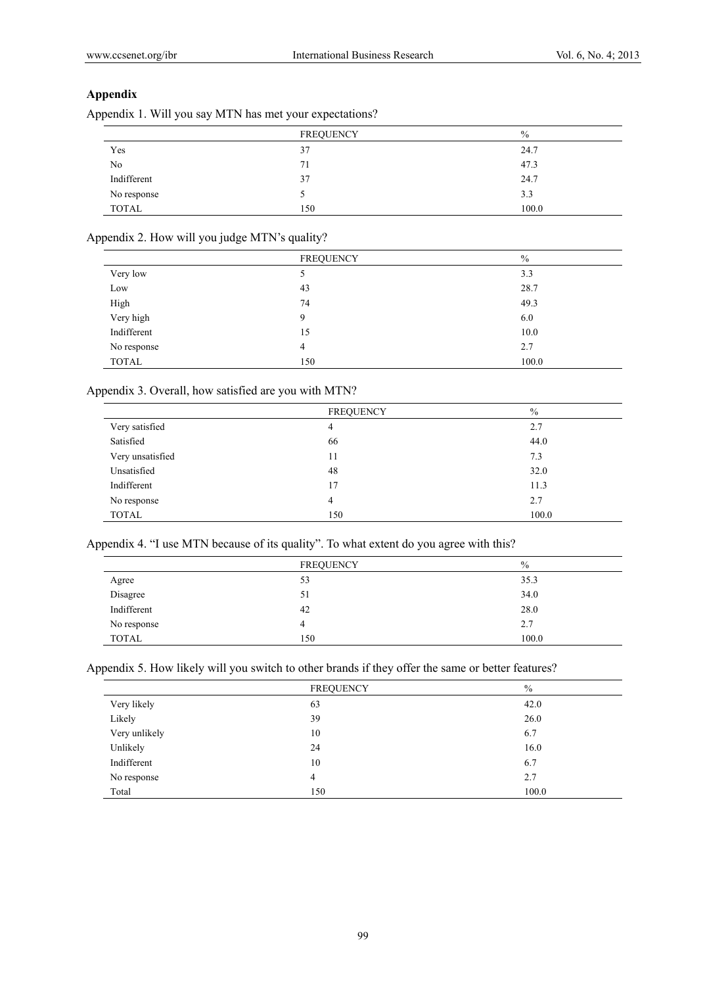# **Appendix**

|             | <b>FREQUENCY</b> | $\frac{0}{0}$ |
|-------------|------------------|---------------|
| Yes         | 37               | 24.7          |
| No          | 71               | 47.3          |
| Indifferent | 37               | 24.7          |
| No response |                  | 3.3           |
| TOTAL       | 150              | 100.0         |

Appendix 1. Will you say MTN has met your expectations?

# Appendix 2. How will you judge MTN's quality?

|              | <b>FREQUENCY</b> | $\%$  |
|--------------|------------------|-------|
| Very low     |                  | 3.3   |
| Low          | 43               | 28.7  |
| High         | 74               | 49.3  |
| Very high    | 9                | 6.0   |
| Indifferent  | 15               | 10.0  |
| No response  | 4                | 2.7   |
| <b>TOTAL</b> | 150              | 100.0 |

# Appendix 3. Overall, how satisfied are you with MTN?

|                  | <b>FREQUENCY</b> | $\%$  |
|------------------|------------------|-------|
| Very satisfied   | 4                | 2.7   |
| Satisfied        | 66               | 44.0  |
| Very unsatisfied | 11               | 7.3   |
| Unsatisfied      | 48               | 32.0  |
| Indifferent      | 17               | 11.3  |
| No response      | 4                | 2.7   |
| <b>TOTAL</b>     | 150              | 100.0 |
|                  |                  |       |

# Appendix 4. "I use MTN because of its quality". To what extent do you agree with this?

|              | <b>FREQUENCY</b> | $\frac{0}{0}$ |
|--------------|------------------|---------------|
| Agree        | 53               | 35.3          |
| Disagree     | 51               | 34.0          |
| Indifferent  | 42               | 28.0          |
| No response  | 4                | 2.7           |
| <b>TOTAL</b> | 150              | 100.0         |

# Appendix 5. How likely will you switch to other brands if they offer the same or better features?

|               | <b>FREQUENCY</b> | $\%$  |
|---------------|------------------|-------|
| Very likely   | 63               | 42.0  |
| Likely        | 39               | 26.0  |
| Very unlikely | 10               | 6.7   |
| Unlikely      | 24               | 16.0  |
| Indifferent   | 10               | 6.7   |
| No response   | $\overline{4}$   | 2.7   |
| Total         | 150              | 100.0 |